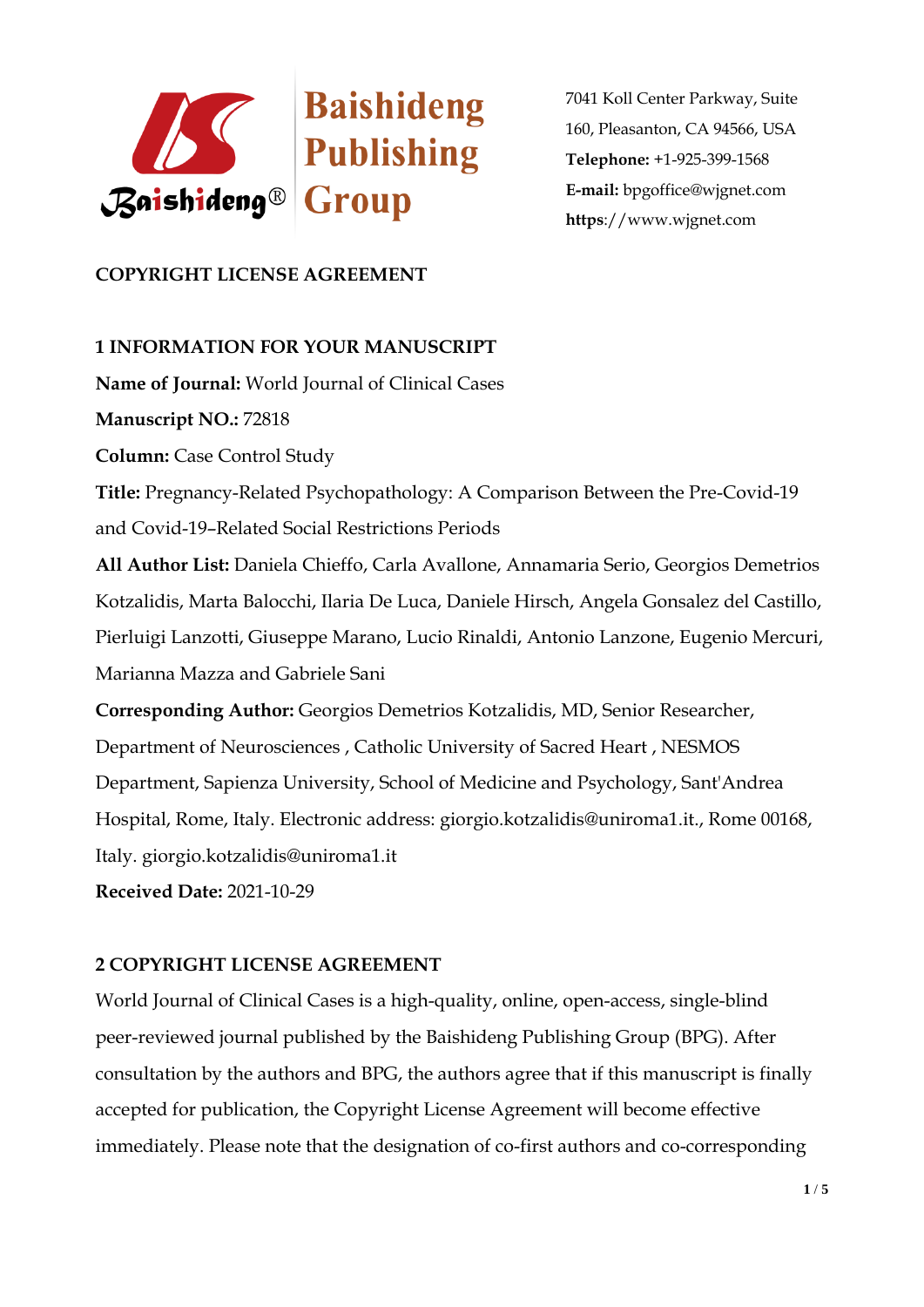

# **COPYRIGHT LICENSE AGREEMENT**

### **1 INFORMATION FOR YOUR MANUSCRIPT**

**Name of Journal:** World Journal of Clinical Cases

**Manuscript NO.:** 72818

**Column:** Case Control Study

**Title:** Pregnancy-Related Psychopathology: A Comparison Between the Pre-Covid-19 and Covid-19–Related Social Restrictions Periods

**All Author List:** Daniela Chieffo, Carla Avallone, Annamaria Serio, Georgios Demetrios Kotzalidis, Marta Balocchi, Ilaria De Luca, Daniele Hirsch, Angela Gonsalez del Castillo, Pierluigi Lanzotti, Giuseppe Marano, Lucio Rinaldi, Antonio Lanzone, Eugenio Mercuri, Marianna Mazza and Gabriele Sani

**Corresponding Author:** Georgios Demetrios Kotzalidis, MD, Senior Researcher, Department of Neurosciences , Catholic University of Sacred Heart , NESMOS Department, Sapienza University, School of Medicine and Psychology, Sant'Andrea Hospital, Rome, Italy. Electronic address: giorgio.kotzalidis@uniroma1.it., Rome 00168, Italy. giorgio.kotzalidis@uniroma1.it

**Received Date:** 2021-10-29

### **2 COPYRIGHT LICENSE AGREEMENT**

World Journal of Clinical Cases is a high-quality, online, open-access, single-blind peer-reviewed journal published by the Baishideng Publishing Group (BPG). After consultation by the authors and BPG, the authors agree that if this manuscript is finally accepted for publication, the Copyright License Agreement will become effective immediately. Please note that the designation of co-first authors and co-corresponding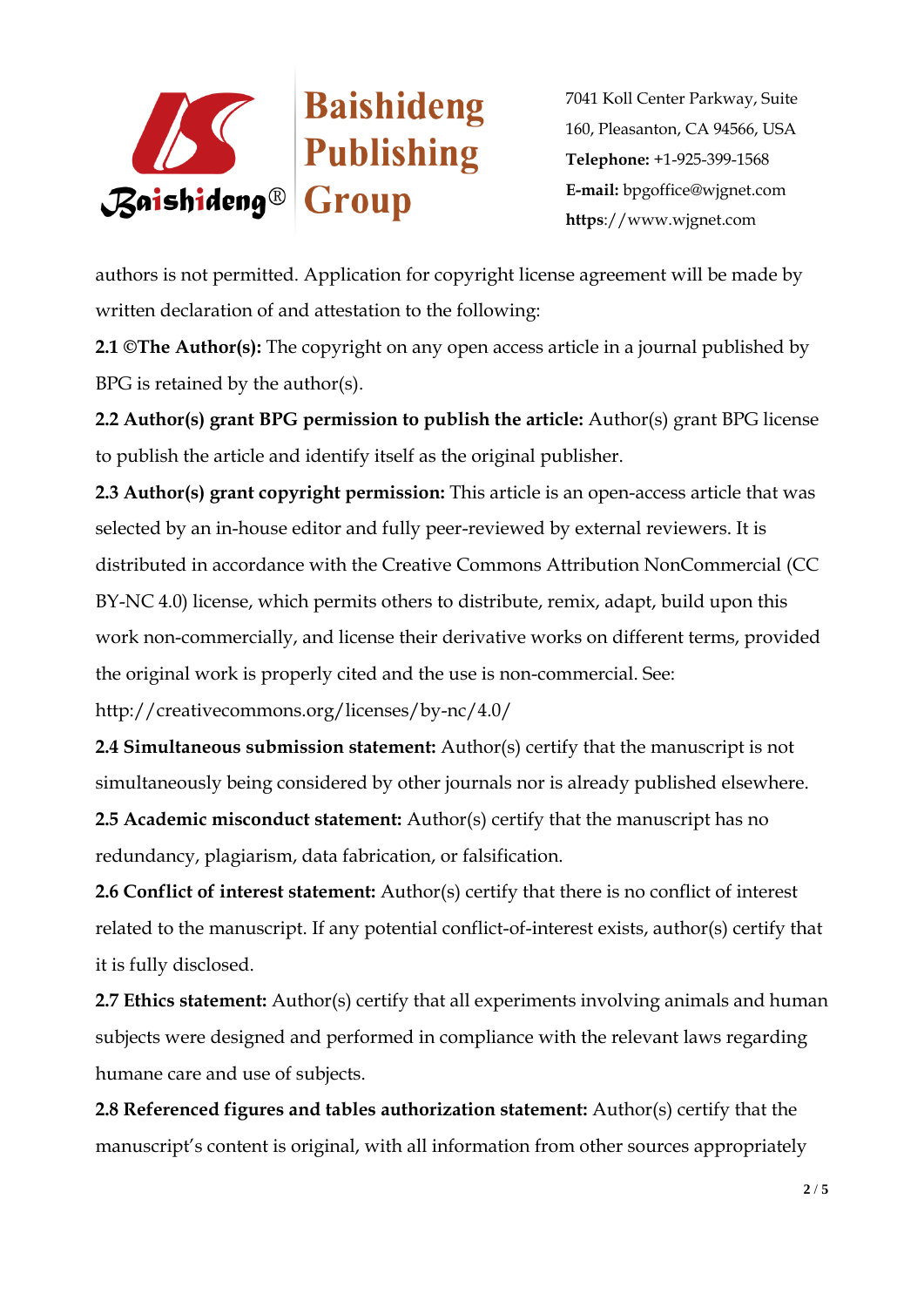

authors is not permitted. Application for copyright license agreement will be made by written declaration of and attestation to the following:

**2.1 ©The Author(s):** The copyright on any open access article in a journal published by BPG is retained by the author(s).

**2.2 Author(s) grant BPG permission to publish the article:** Author(s) grant BPG license to publish the article and identify itself as the original publisher.

**2.3 Author(s) grant copyright permission:** This article is an open-access article that was selected by an in-house editor and fully peer-reviewed by external reviewers. It is distributed in accordance with the Creative Commons Attribution NonCommercial (CC BY-NC 4.0) license, which permits others to distribute, remix, adapt, build upon this work non-commercially, and license their derivative works on different terms, provided the original work is properly cited and the use is non-commercial. See:

http://creativecommons.org/licenses/by-nc/4.0/

**2.4 Simultaneous submission statement:** Author(s) certify that the manuscript is not simultaneously being considered by other journals nor is already published elsewhere.

**2.5 Academic misconduct statement:** Author(s) certify that the manuscript has no redundancy, plagiarism, data fabrication, or falsification.

**2.6 Conflict of interest statement:** Author(s) certify that there is no conflict of interest related to the manuscript. If any potential conflict-of-interest exists, author(s) certify that it is fully disclosed.

**2.7 Ethics statement:** Author(s) certify that all experiments involving animals and human subjects were designed and performed in compliance with the relevant laws regarding humane care and use of subjects.

**2.8 Referenced figures and tables authorization statement:** Author(s) certify that the manuscript's content is original, with all information from other sources appropriately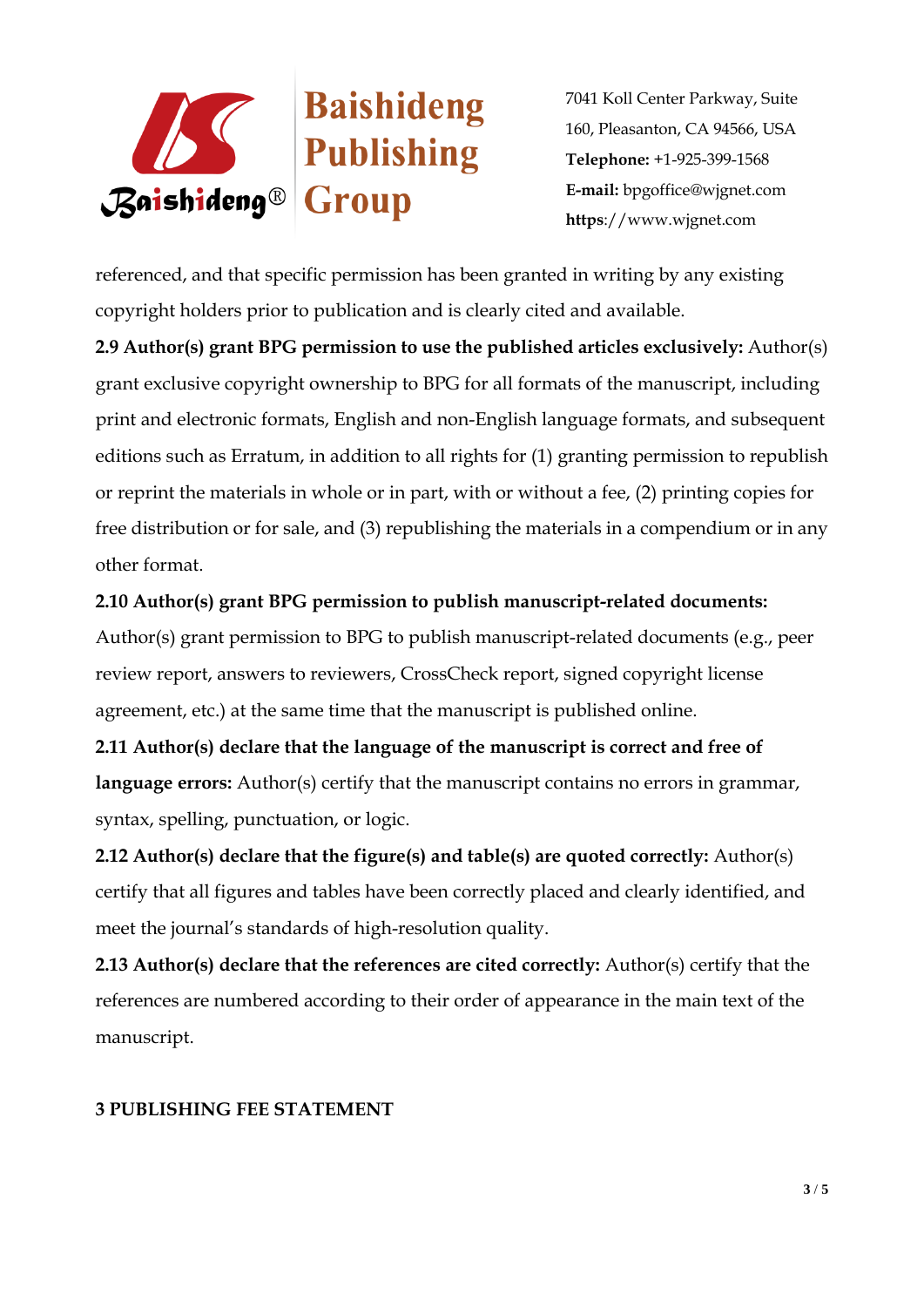

referenced, and that specific permission has been granted in writing by any existing copyright holders prior to publication and is clearly cited and available.

**2.9 Author(s) grant BPG permission to use the published articles exclusively:** Author(s) grant exclusive copyright ownership to BPG for all formats of the manuscript, including print and electronic formats, English and non-English language formats, and subsequent editions such as Erratum, in addition to all rights for (1) granting permission to republish or reprint the materials in whole or in part, with or without a fee, (2) printing copies for free distribution or for sale, and (3) republishing the materials in a compendium or in any other format.

### **2.10 Author(s) grant BPG permission to publish manuscript-related documents:**

Author(s) grant permission to BPG to publish manuscript-related documents (e.g., peer review report, answers to reviewers, CrossCheck report, signed copyright license agreement, etc.) at the same time that the manuscript is published online.

**2.11 Author(s) declare that the language of the manuscript is correct and free of language errors:** Author(s) certify that the manuscript contains no errors in grammar, syntax, spelling, punctuation, or logic.

**2.12 Author(s) declare that the figure(s) and table(s) are quoted correctly:** Author(s) certify that all figures and tables have been correctly placed and clearly identified, and meet the journal's standards of high-resolution quality.

**2.13 Author(s) declare that the references are cited correctly:** Author(s) certify that the references are numbered according to their order of appearance in the main text of the manuscript.

### **3 PUBLISHING FEE STATEMENT**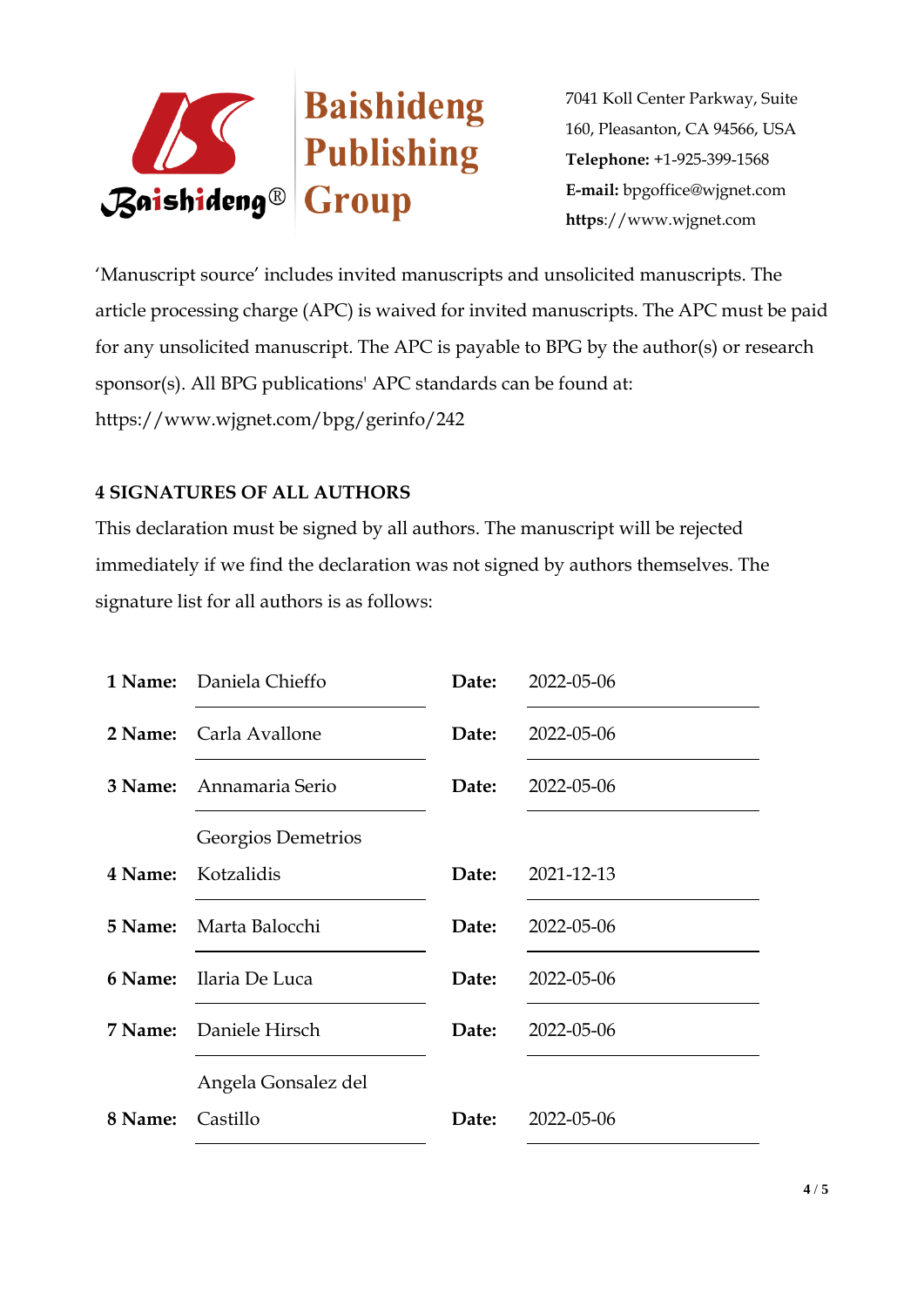

'Manuscript source' includes invited manuscripts and unsolicited manuscripts. The article processing charge (APC) is waived for invited manuscripts. The APC must be paid for any unsolicited manuscript. The APC is payable to BPG by the author(s) or research sponsor(s). All BPG publications' APC standards can be found at: https://www.wjgnet.com/bpg/gerinfo/242

## **4 SIGNATURES OF ALL AUTHORS**

This declaration must be signed by all authors. The manuscript will be rejected immediately if we find the declaration was not signed by authors themselves. The signature list for all authors is as follows:

|         | <b>1 Name:</b> Daniela Chieffo | Date: | 2022-05-06 |
|---------|--------------------------------|-------|------------|
| 2 Name: | Carla Avallone                 | Date: | 2022-05-06 |
| 3 Name: | Annamaria Serio                | Date: | 2022-05-06 |
|         | Georgios Demetrios             |       |            |
| 4 Name: | Kotzalidis                     | Date: | 2021-12-13 |
|         | <b>5 Name:</b> Marta Balocchi  | Date: | 2022-05-06 |
| 6 Name: | Ilaria De Luca                 | Date: | 2022-05-06 |
| 7 Name: | Daniele Hirsch                 | Date: | 2022-05-06 |
|         | Angela Gonsalez del            |       |            |
| 8 Name: | Castillo                       | Date: | 2022-05-06 |